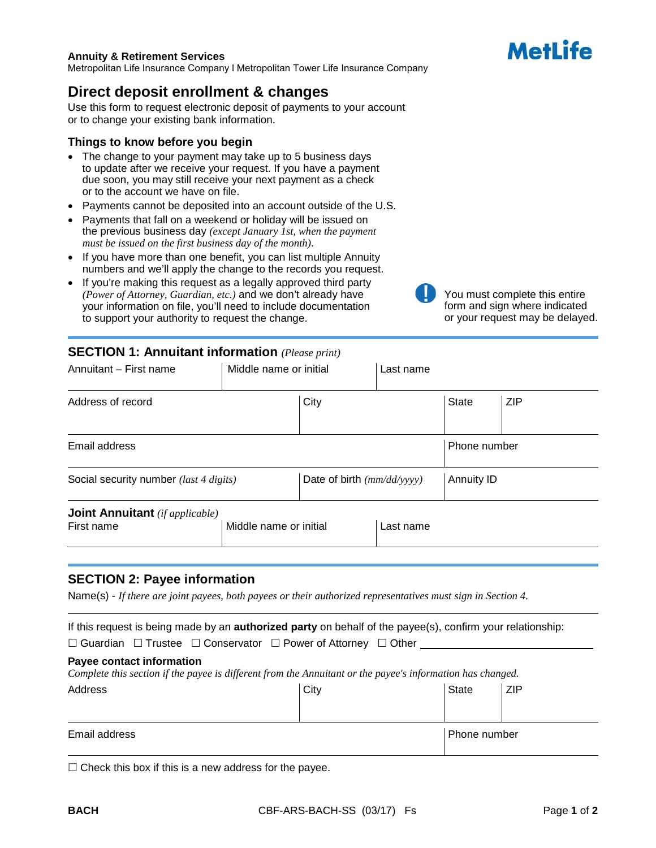# Metl ife

#### **Annuity & Retirement Services**

Metropolitan Life Insurance Company l Metropolitan Tower Life Insurance Company

## **Direct deposit enrollment & changes**

Use this form to request electronic deposit of payments to your account or to change your existing bank information.

#### **Things to know before you begin**

- The change to your payment may take up to 5 business days to update after we receive your request. If you have a payment due soon, you may still receive your next payment as a check or to the account we have on file.
- Payments cannot be deposited into an account outside of the U.S.
- Payments that fall on a weekend or holiday will be issued on the previous business day *(except January 1st, when the payment must be issued on the first business day of the month)*.
- If you have more than one benefit, you can list multiple Annuity numbers and we'll apply the change to the records you request.
- If you're making this request as a legally approved third party *(Power of Attorney, Guardian, etc.)* and we don't already have your information on file, you'll need to include documentation to support your authority to request the change.



You must complete this entire form and sign where indicated or your request may be delayed.

## **SECTION 1: Annuitant information** *(Please print)*

| Annuitant - First name                               | Middle name or initial |                              | Last name |              |     |
|------------------------------------------------------|------------------------|------------------------------|-----------|--------------|-----|
| Address of record                                    |                        | City                         |           | <b>State</b> | ZIP |
| Email address                                        |                        |                              |           | Phone number |     |
| Social security number (last 4 digits)               |                        | Date of birth $(mm/dd/yyyy)$ |           | Annuity ID   |     |
| <b>Joint Annuitant</b> (if applicable)<br>First name | Middle name or initial |                              | Last name |              |     |

#### **SECTION 2: Payee information**

Name(s) - *If there are joint payees, both payees or their authorized representatives must sign in Section 4.*

If this request is being made by an **authorized party** on behalf of the payee(s), confirm your relationship:

 $\Box$  Guardian  $\Box$  Trustee  $\Box$  Conservator  $\Box$  Power of Attorney  $\Box$  Other

#### **Payee contact information**

*Complete this section if the payee is different from the Annuitant or the payee's information has changed.*

| Address       | City | <b>State</b>        | <b>ZIP</b> |
|---------------|------|---------------------|------------|
| Email address |      | <b>Phone number</b> |            |

 $\Box$  Check this box if this is a new address for the payee.